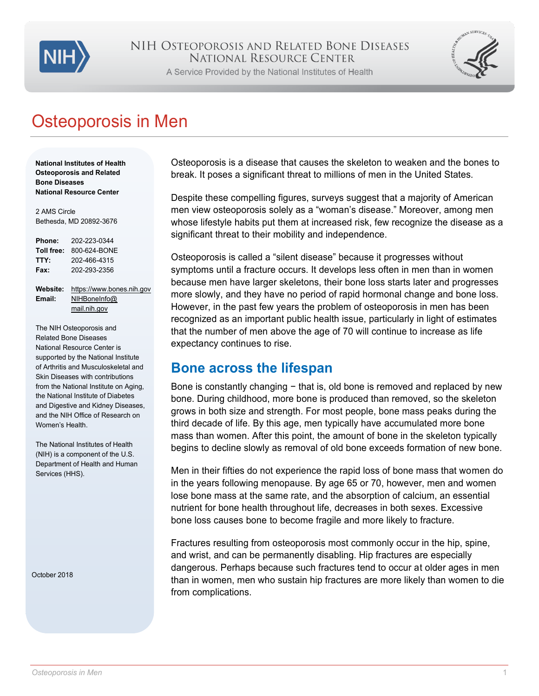

NIH OSTEOPOROSIS AND RELATED BONE DISEASES **NATIONAL RESOURCE CENTER** 

A Service Provided by the National Institutes of Health



# Osteoporosis in Men

**National Institutes of Health Osteoporosis and Related Bone Diseases National Resource Center**

2 AMS Circle Bethesda, MD 20892-3676

| Phone:                   | 202-223-0344                              |
|--------------------------|-------------------------------------------|
| Toll free:               | 800-624-BONE                              |
| TTY:                     | 202-466-4315                              |
| Fax:                     | 202-293-2356                              |
| Website:<br><b>Fmail</b> | https://www.bones.nih.gov<br>NIHRoneInfo@ |

**Email:** [NIHBoneInfo@](mailto:NIHBoneInfo@mail.nih.gov) [mail.nih.gov](mailto:NIHBoneInfo@mail.nih.gov)

The NIH Osteoporosis and Related Bone Diseases National Resource Center is supported by the National Institute of Arthritis and Musculoskeletal and Skin Diseases with contributions from the National Institute on Aging, the National Institute of Diabetes and Digestive and Kidney Diseases, and the NIH Office of Research on Women's Health.

The National Institutes of Health (NIH) is a component of the U.S. Department of Health and Human Services (HHS).

October 2018

Osteoporosis is a disease that causes the skeleton to weaken and the bones to break. It poses a significant threat to millions of men in the United States.

Despite these compelling figures, surveys suggest that a majority of American men view osteoporosis solely as a "woman's disease." Moreover, among men whose lifestyle habits put them at increased risk, few recognize the disease as a significant threat to their mobility and independence.

Osteoporosis is called a "silent disease" because it progresses without symptoms until a fracture occurs. It develops less often in men than in women because men have larger skeletons, their bone loss starts later and progresses more slowly, and they have no period of rapid hormonal change and bone loss. However, in the past few years the problem of osteoporosis in men has been recognized as an important public health issue, particularly in light of estimates that the number of men above the age of 70 will continue to increase as life expectancy continues to rise.

#### **Bone across the lifespan**

Bone is constantly changing − that is, old bone is removed and replaced by new bone. During childhood, more bone is produced than removed, so the skeleton grows in both size and strength. For most people, bone mass peaks during the third decade of life. By this age, men typically have accumulated more bone mass than women. After this point, the amount of bone in the skeleton typically begins to decline slowly as removal of old bone exceeds formation of new bone.

Men in their fifties do not experience the rapid loss of bone mass that women do in the years following menopause. By age 65 or 70, however, men and women lose bone mass at the same rate, and the absorption of calcium, an essential nutrient for bone health throughout life, decreases in both sexes. Excessive bone loss causes bone to become fragile and more likely to fracture.

Fractures resulting from osteoporosis most commonly occur in the hip, spine, and wrist, and can be permanently disabling. Hip fractures are especially dangerous. Perhaps because such fractures tend to occur at older ages in men than in women, men who sustain hip fractures are more likely than women to die from complications.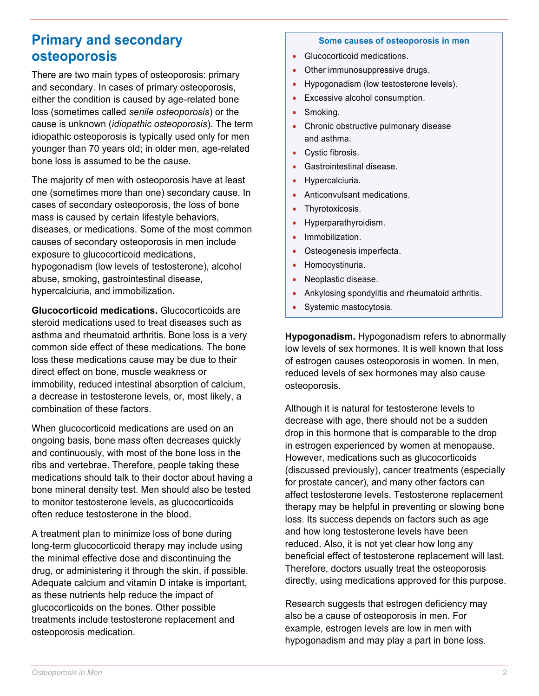## **Primary and secondary osteoporosis**

There are two main types of osteoporosis: primary and secondary. In cases of primary osteoporosis, either the condition is caused by age-related bone loss (sometimes called *senile osteoporosis*) or the cause is unknown (*idiopathic osteoporosis*). The term idiopathic osteoporosis is typically used only for men younger than 70 years old; in older men, age-related bone loss is assumed to be the cause.

The majority of men with osteoporosis have at least one (sometimes more than one) secondary cause. In cases of secondary osteoporosis, the loss of bone mass is caused by certain lifestyle behaviors, diseases, or medications. Some of the most common causes of secondary osteoporosis in men include exposure to glucocorticoid medications, hypogonadism (low levels of testosterone), alcohol abuse, smoking, gastrointestinal disease, hypercalciuria, and immobilization.

**Glucocorticoid medications.** Glucocorticoids are steroid medications used to treat diseases such as asthma and rheumatoid arthritis. Bone loss is a very common side effect of these medications. The bone loss these medications cause may be due to their direct effect on bone, muscle weakness or immobility, reduced intestinal absorption of calcium, a decrease in testosterone levels, or, most likely, a combination of these factors.

When glucocorticoid medications are used on an ongoing basis, bone mass often decreases quickly and continuously, with most of the bone loss in the ribs and vertebrae. Therefore, people taking these medications should talk to their doctor about having a bone mineral density test. Men should also be tested to monitor testosterone levels, as glucocorticoids often reduce testosterone in the blood.

A treatment plan to minimize loss of bone during long-term glucocorticoid therapy may include using the minimal effective dose and discontinuing the drug, or administering it through the skin, if possible. Adequate calcium and vitamin D intake is important, as these nutrients help reduce the impact of glucocorticoids on the bones. Other possible treatments include testosterone replacement and osteoporosis medication.

#### **Some causes of osteoporosis in men**

- Glucocorticoid medications.
- Other immunosuppressive drugs.
- Hypogonadism (low testosterone levels).
- Excessive alcohol consumption.
- Smoking.
- Chronic obstructive pulmonary disease and asthma.
- Cystic fibrosis.
- Gastrointestinal disease.
- Hypercalciuria.
- Anticonvulsant medications.
- Thyrotoxicosis.
- Hyperparathyroidism.
- Immobilization.
- Osteogenesis imperfecta.
- Homocystinuria.
- Neoplastic disease.
- Ankylosing spondylitis and rheumatoid arthritis.
- Systemic mastocytosis.

**Hypogonadism.** Hypogonadism refers to abnormally low levels of sex hormones. It is well known that loss of estrogen causes osteoporosis in women. In men, reduced levels of sex hormones may also cause osteoporosis.

Although it is natural for testosterone levels to decrease with age, there should not be a sudden drop in this hormone that is comparable to the drop in estrogen experienced by women at menopause. However, medications such as glucocorticoids (discussed previously), cancer treatments (especially for prostate cancer), and many other factors can affect testosterone levels. Testosterone replacement therapy may be helpful in preventing or slowing bone loss. Its success depends on factors such as age and how long testosterone levels have been reduced. Also, it is not yet clear how long any beneficial effect of testosterone replacement will last. Therefore, doctors usually treat the osteoporosis directly, using medications approved for this purpose.

Research suggests that estrogen deficiency may also be a cause of osteoporosis in men. For example, estrogen levels are low in men with hypogonadism and may play a part in bone loss.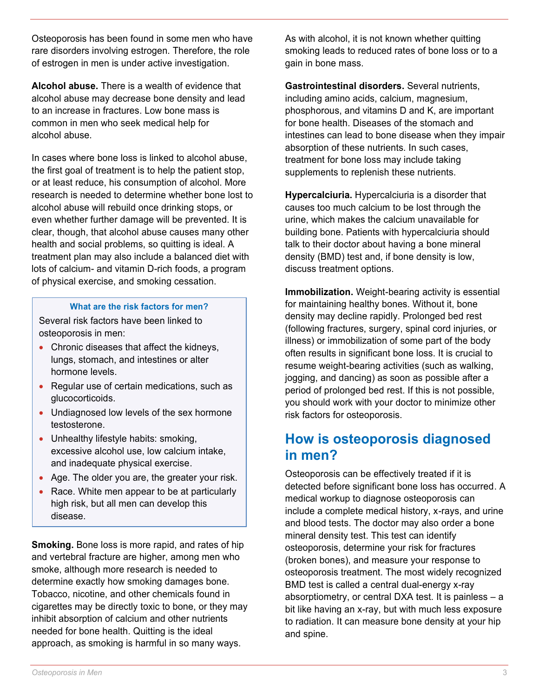Osteoporosis has been found in some men who have rare disorders involving estrogen. Therefore, the role of estrogen in men is under active investigation.

**Alcohol abuse.** There is a wealth of evidence that alcohol abuse may decrease bone density and lead to an increase in fractures. Low bone mass is common in men who seek medical help for alcohol abuse.

In cases where bone loss is linked to alcohol abuse, the first goal of treatment is to help the patient stop, or at least reduce, his consumption of alcohol. More research is needed to determine whether bone lost to alcohol abuse will rebuild once drinking stops, or even whether further damage will be prevented. It is clear, though, that alcohol abuse causes many other health and social problems, so quitting is ideal. A treatment plan may also include a balanced diet with lots of calcium- and vitamin D-rich foods, a program of physical exercise, and smoking cessation.

#### **What are the risk factors for men?**

Several risk factors have been linked to osteoporosis in men:

- Chronic diseases that affect the kidneys, lungs, stomach, and intestines or alter hormone levels.
- Regular use of certain medications, such as glucocorticoids.
- Undiagnosed low levels of the sex hormone testosterone.
- Unhealthy lifestyle habits: smoking, excessive alcohol use, low calcium intake, and inadequate physical exercise.
- Age. The older you are, the greater your risk.
- Race. White men appear to be at particularly high risk, but all men can develop this disease.

**Smoking.** Bone loss is more rapid, and rates of hip and vertebral fracture are higher, among men who smoke, although more research is needed to determine exactly how smoking damages bone. Tobacco, nicotine, and other chemicals found in cigarettes may be directly toxic to bone, or they may inhibit absorption of calcium and other nutrients needed for bone health. Quitting is the ideal approach, as smoking is harmful in so many ways.

As with alcohol, it is not known whether quitting smoking leads to reduced rates of bone loss or to a gain in bone mass.

**Gastrointestinal disorders.** Several nutrients, including amino acids, calcium, magnesium, phosphorous, and vitamins D and K, are important for bone health. Diseases of the stomach and intestines can lead to bone disease when they impair absorption of these nutrients. In such cases, treatment for bone loss may include taking supplements to replenish these nutrients.

**Hypercalciuria.** Hypercalciuria is a disorder that causes too much calcium to be lost through the urine, which makes the calcium unavailable for building bone. Patients with hypercalciuria should talk to their doctor about having a bone mineral density (BMD) test and, if bone density is low, discuss treatment options.

**Immobilization.** Weight-bearing activity is essential for maintaining healthy bones. Without it, bone density may decline rapidly. Prolonged bed rest (following fractures, surgery, spinal cord injuries, or illness) or immobilization of some part of the body often results in significant bone loss. It is crucial to resume weight-bearing activities (such as walking, jogging, and dancing) as soon as possible after a period of prolonged bed rest. If this is not possible, you should work with your doctor to minimize other risk factors for osteoporosis.

### **How is osteoporosis diagnosed in men?**

Osteoporosis can be effectively treated if it is detected before significant bone loss has occurred. A medical workup to diagnose osteoporosis can include a complete medical history, x-rays, and urine and blood tests. The doctor may also order a bone mineral density test. This test can identify osteoporosis, determine your risk for fractures (broken bones), and measure your response to osteoporosis treatment. The most widely recognized BMD test is called a central dual-energy x-ray absorptiometry, or central DXA test. It is painless – a bit like having an x-ray, but with much less exposure to radiation. It can measure bone density at your hip and spine.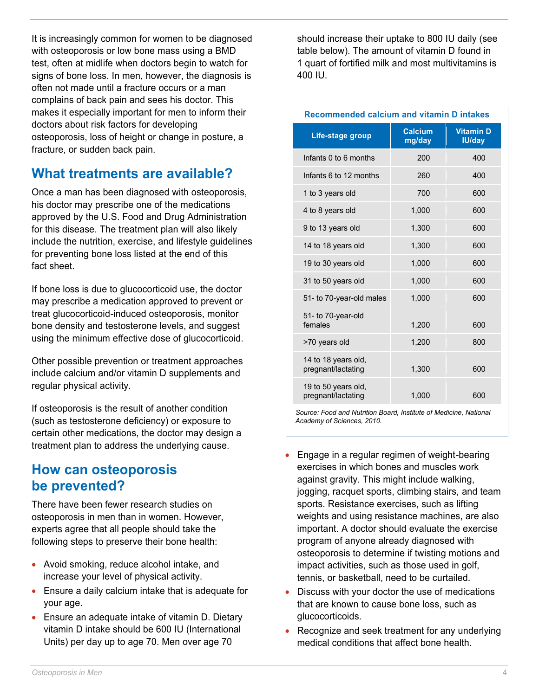It is increasingly common for women to be diagnosed with osteoporosis or low bone mass using a BMD test, often at midlife when doctors begin to watch for signs of bone loss. In men, however, the diagnosis is often not made until a fracture occurs or a man complains of back pain and sees his doctor. This makes it especially important for men to inform their doctors about risk factors for developing osteoporosis, loss of height or change in posture, a fracture, or sudden back pain.

### **What treatments are available?**

Once a man has been diagnosed with osteoporosis, his doctor may prescribe one of the medications approved by the U.S. Food and Drug Administration for this disease. The treatment plan will also likely include the nutrition, exercise, and lifestyle guidelines for preventing bone loss listed at the end of this fact sheet.

If bone loss is due to glucocorticoid use, the doctor may prescribe a medication approved to prevent or treat glucocorticoid-induced osteoporosis, monitor bone density and testosterone levels, and suggest using the minimum effective dose of glucocorticoid.

Other possible prevention or treatment approaches include calcium and/or vitamin D supplements and regular physical activity.

If osteoporosis is the result of another condition (such as testosterone deficiency) or exposure to certain other medications, the doctor may design a treatment plan to address the underlying cause.

#### **How can osteoporosis be prevented?**

There have been fewer research studies on osteoporosis in men than in women. However, experts agree that all people should take the following steps to preserve their bone health:

- Avoid smoking, reduce alcohol intake, and increase your level of physical activity.
- Ensure a daily calcium intake that is adequate for your age.
- Ensure an adequate intake of vitamin D. Dietary vitamin D intake should be 600 IU (International Units) per day up to age 70. Men over age 70

should increase their uptake to 800 IU daily (see table below). The amount of vitamin D found in 1 quart of fortified milk and most multivitamins is 400 IU.

**Recommended calcium and vitamin D intakes**

| Life-stage group                          | <b>Calcium</b><br>mg/day | <b>Vitamin D</b><br><b>IU/day</b> |
|-------------------------------------------|--------------------------|-----------------------------------|
| Infants 0 to 6 months                     | 200                      | 400                               |
| Infants 6 to 12 months                    | 260                      | 400                               |
| 1 to 3 years old                          | 700                      | 600                               |
| 4 to 8 years old                          | 1,000                    | 600                               |
| 9 to 13 years old                         | 1,300                    | 600                               |
| 14 to 18 years old                        | 1,300                    | 600                               |
| 19 to 30 years old                        | 1,000                    | 600                               |
| 31 to 50 years old                        | 1,000                    | 600                               |
| 51- to 70-year-old males                  | 1,000                    | 600                               |
| 51- to 70-year-old<br>females             | 1,200                    | 600                               |
| >70 years old                             | 1,200                    | 800                               |
| 14 to 18 years old,<br>pregnant/lactating | 1,300                    | 600                               |
| 19 to 50 years old,<br>pregnant/lactating | 1,000                    | 600                               |

*Source: Food and Nutrition Board, Institute of Medicine, National Academy of Sciences, 2010.*

- Engage in a regular regimen of weight-bearing exercises in which bones and muscles work against gravity. This might include walking, jogging, racquet sports, climbing stairs, and team sports. Resistance exercises, such as lifting weights and using resistance machines, are also important. A doctor should evaluate the exercise program of anyone already diagnosed with osteoporosis to determine if twisting motions and impact activities, such as those used in golf, tennis, or basketball, need to be curtailed.
- Discuss with your doctor the use of medications that are known to cause bone loss, such as glucocorticoids.
- Recognize and seek treatment for any underlying medical conditions that affect bone health.